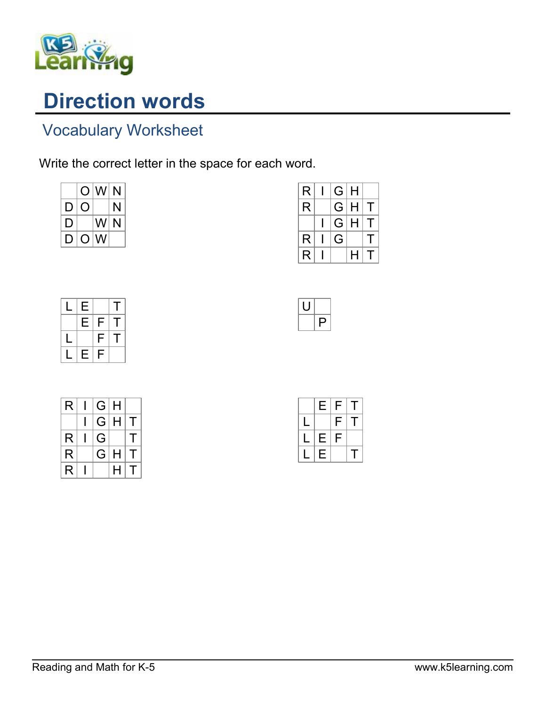

## Direction words

## Vocabulary Worksheet

Write the correct letter in the space for each word.

|    | O              | W  | N |
|----|----------------|----|---|
| I) |                |    | N |
| IJ |                | WI | N |
| D  | $\overline{O}$ | W  |   |

| R | G | Н |              |
|---|---|---|--------------|
| R | G | Н | $\mathbf{I}$ |
|   | G | Н | $\mathbf{I}$ |
| R | G |   |              |
| R |   | н |              |
|   |   |   |              |



| R | G | H |   |
|---|---|---|---|
|   | G | Н | т |
| R | G |   | Т |
| R | G | H | т |
| R |   | н | т |

|   | Е | F | T |
|---|---|---|---|
| L |   | F | Τ |
| L | Ε | F |   |
|   | Е |   | т |